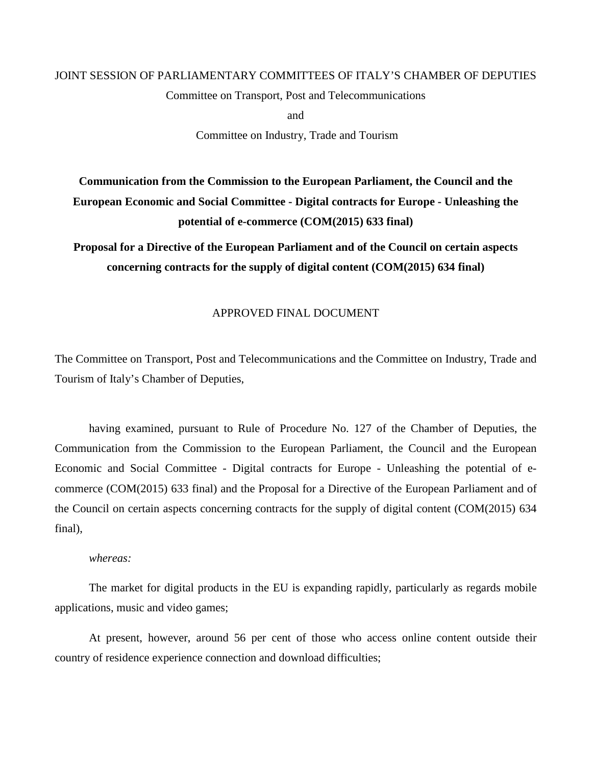# JOINT SESSION OF PARLIAMENTARY COMMITTEES OF ITALY'S CHAMBER OF DEPUTIES

Committee on Transport, Post and Telecommunications

and

Committee on Industry, Trade and Tourism

# **Communication from the Commission to the European Parliament, the Council and the European Economic and Social Committee - Digital contracts for Europe - Unleashing the potential of e-commerce (COM(2015) 633 final)**

**Proposal for a Directive of the European Parliament and of the Council on certain aspects concerning contracts for the supply of digital content (COM(2015) 634 final)**

## APPROVED FINAL DOCUMENT

The Committee on Transport, Post and Telecommunications and the Committee on Industry, Trade and Tourism of Italy's Chamber of Deputies,

having examined, pursuant to Rule of Procedure No. 127 of the Chamber of Deputies, the Communication from the Commission to the European Parliament, the Council and the European Economic and Social Committee - Digital contracts for Europe - Unleashing the potential of ecommerce (COM(2015) 633 final) and the Proposal for a Directive of the European Parliament and of the Council on certain aspects concerning contracts for the supply of digital content (COM(2015) 634 final),

#### *whereas:*

The market for digital products in the EU is expanding rapidly, particularly as regards mobile applications, music and video games;

At present, however, around 56 per cent of those who access online content outside their country of residence experience connection and download difficulties;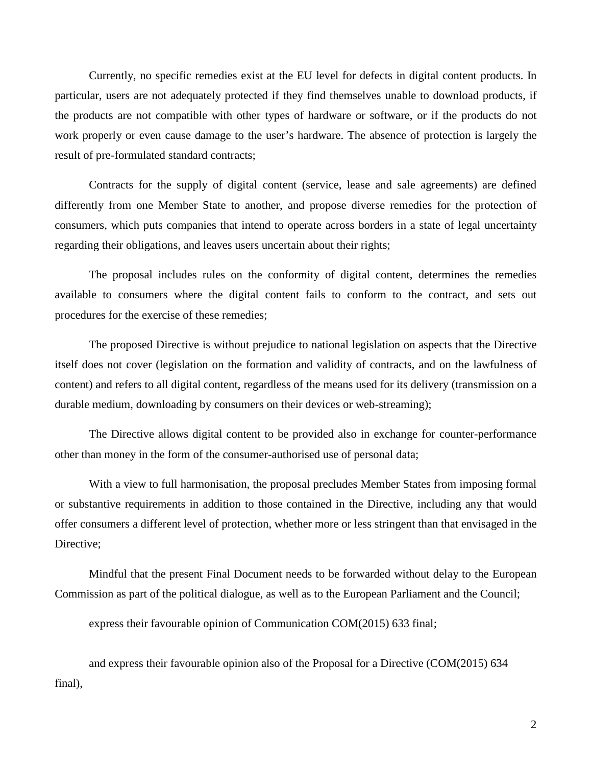Currently, no specific remedies exist at the EU level for defects in digital content products. In particular, users are not adequately protected if they find themselves unable to download products, if the products are not compatible with other types of hardware or software, or if the products do not work properly or even cause damage to the user's hardware. The absence of protection is largely the result of pre-formulated standard contracts;

Contracts for the supply of digital content (service, lease and sale agreements) are defined differently from one Member State to another, and propose diverse remedies for the protection of consumers, which puts companies that intend to operate across borders in a state of legal uncertainty regarding their obligations, and leaves users uncertain about their rights;

The proposal includes rules on the conformity of digital content, determines the remedies available to consumers where the digital content fails to conform to the contract, and sets out procedures for the exercise of these remedies;

The proposed Directive is without prejudice to national legislation on aspects that the Directive itself does not cover (legislation on the formation and validity of contracts, and on the lawfulness of content) and refers to all digital content, regardless of the means used for its delivery (transmission on a durable medium, downloading by consumers on their devices or web-streaming);

The Directive allows digital content to be provided also in exchange for counter-performance other than money in the form of the consumer-authorised use of personal data;

With a view to full harmonisation, the proposal precludes Member States from imposing formal or substantive requirements in addition to those contained in the Directive, including any that would offer consumers a different level of protection, whether more or less stringent than that envisaged in the Directive:

Mindful that the present Final Document needs to be forwarded without delay to the European Commission as part of the political dialogue, as well as to the European Parliament and the Council;

express their favourable opinion of Communication COM(2015) 633 final;

and express their favourable opinion also of the Proposal for a Directive (COM(2015) 634 final),